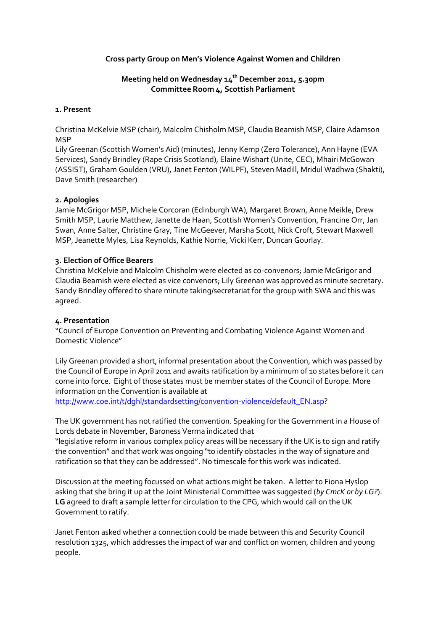## **Cross party Group on Men's Violence Against Women and Children**

# **Meeting held on Wednesday 14th December 2011, 5.30pm Committee Room 4, Scottish Parliament**

#### **1. Present**

Christina McKelvie MSP (chair), Malcolm Chisholm MSP, Claudia Beamish MSP, Claire Adamson **MSP** 

Lily Greenan (Scottish Women's Aid) (minutes), Jenny Kemp (Zero Tolerance), Ann Hayne (EVA Services), Sandy Brindley (Rape Crisis Scotland), Elaine Wishart (Unite, CEC), Mhairi McGowan (ASSIST), Graham Goulden (VRU), Janet Fenton (WILPF), Steven Madill, Mridul Wadhwa (Shakti), Dave Smith (researcher)

### **2. Apologies**

Jamie McGrigor MSP, Michele Corcoran (Edinburgh WA), Margaret Brown, Anne Meikle, Drew Smith MSP, Laurie Matthew, Janette de Haan, Scottish Women's Convention, Francine Orr, Jan Swan, Anne Salter, Christine Gray, Tine McGeever, Marsha Scott, Nick Croft, Stewart Maxwell MSP, Jeanette Myles, Lisa Reynolds, Kathie Norrie, Vicki Kerr, Duncan Gourlay.

### **3. Election of Office Bearers**

Christina McKelvie and Malcolm Chisholm were elected as co-convenors; Jamie McGrigor and Claudia Beamish were elected as vice convenors; Lily Greenan was approved as minute secretary. Sandy Brindley offered to share minute taking/secretariat for the group with SWA and this was agreed.

## **4. Presentation**

"Council of Europe Convention on Preventing and Combating Violence Against Women and Domestic Violence"

Lily Greenan provided a short, informal presentation about the Convention, which was passed by the Council of Europe in April 2011 and awaits ratification by a minimum of 10 states before it can come into force. Eight of those states must be member states of the Council of Europe. More information on the Convention is available at

[http://www.coe.int/t/dghl/standardsetting/convention-violence/default\\_EN.asp?](http://www.coe.int/t/dghl/standardsetting/convention-violence/default_EN.asp)

The UK government has not ratified the convention. Speaking for the Government in a House of Lords debate in November, Baroness Verma indicated that

"legislative reform in various complex policy areas will be necessary if the UK is to sign and ratify the convention" and that work was ongoing "to identify obstacles in the way of signature and ratification so that they can be addressed". No timescale for this work was indicated.

Discussion at the meeting focussed on what actions might be taken. A letter to Fiona Hyslop asking that she bring it up at the Joint Ministerial Committee was suggested (*by CmcK or by LG?*). **LG** agreed to draft a sample letter for circulation to the CPG, which would call on the UK Government to ratify.

Janet Fenton asked whether a connection could be made between this and Security Council resolution 1325, which addresses the impact of war and conflict on women, children and young people.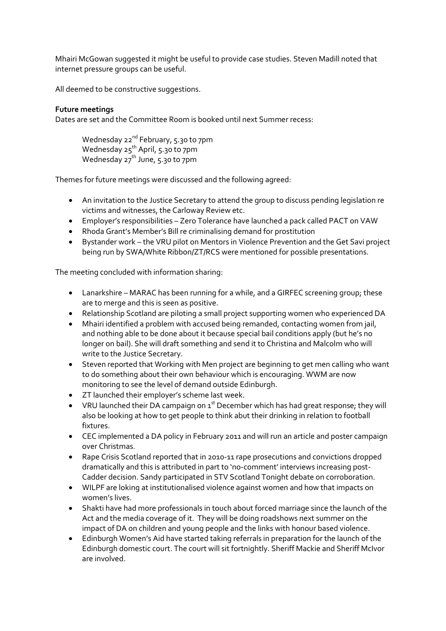Mhairi McGowan suggested it might be useful to provide case studies. Steven Madill noted that internet pressure groups can be useful.

All deemed to be constructive suggestions.

# **Future meetings**

Dates are set and the Committee Room is booked until next Summer recess:

Wednesday 22<sup>nd</sup> February, 5.30 to 7pm Wednesday 25<sup>th</sup> April, 5.30 to 7pm Wednesday 27<sup>th</sup> June, 5.30 to 7pm

Themes for future meetings were discussed and the following agreed:

- An invitation to the Justice Secretary to attend the group to discuss pending legislation re victims and witnesses, the Carloway Review etc.
- Employer's responsibilities Zero Tolerance have launched a pack called PACT on VAW
- Rhoda Grant's Member's Bill re criminalising demand for prostitution
- Bystander work the VRU pilot on Mentors in Violence Prevention and the Get Savi project being run by SWA/White Ribbon/ZT/RCS were mentioned for possible presentations.

The meeting concluded with information sharing:

- Lanarkshire MARAC has been running for a while, and a GIRFEC screening group; these are to merge and this is seen as positive.
- Relationship Scotland are piloting a small project supporting women who experienced DA
- Mhairi identified a problem with accused being remanded, contacting women from jail, and nothing able to be done about it because special bail conditions apply (but he's no longer on bail). She will draft something and send it to Christina and Malcolm who will write to the Justice Secretary.
- Steven reported that Working with Men project are beginning to get men calling who want to do something about their own behaviour which is encouraging. WWM are now monitoring to see the level of demand outside Edinburgh.
- ZT launched their employer's scheme last week.
- VRU launched their DA campaign on  $1<sup>st</sup>$  December which has had great response; they will also be looking at how to get people to think abut their drinking in relation to football fixtures.
- CEC implemented a DA policy in February 2011 and will run an article and poster campaign over Christmas.
- Rape Crisis Scotland reported that in 2010-11 rape prosecutions and convictions dropped dramatically and this is attributed in part to 'no-comment' interviews increasing post-Cadder decision. Sandy participated in STV Scotland Tonight debate on corroboration.
- WILPF are loking at institutionalised violence against women and how that impacts on women's lives.
- Shakti have had more professionals in touch about forced marriage since the launch of the Act and the media coverage of it. They will be doing roadshows next summer on the impact of DA on children and young people and the links with honour based violence.
- Edinburgh Women's Aid have started taking referrals in preparation for the launch of the Edinburgh domestic court. The court will sit fortnightly. Sheriff Mackie and Sheriff McIvor are involved.